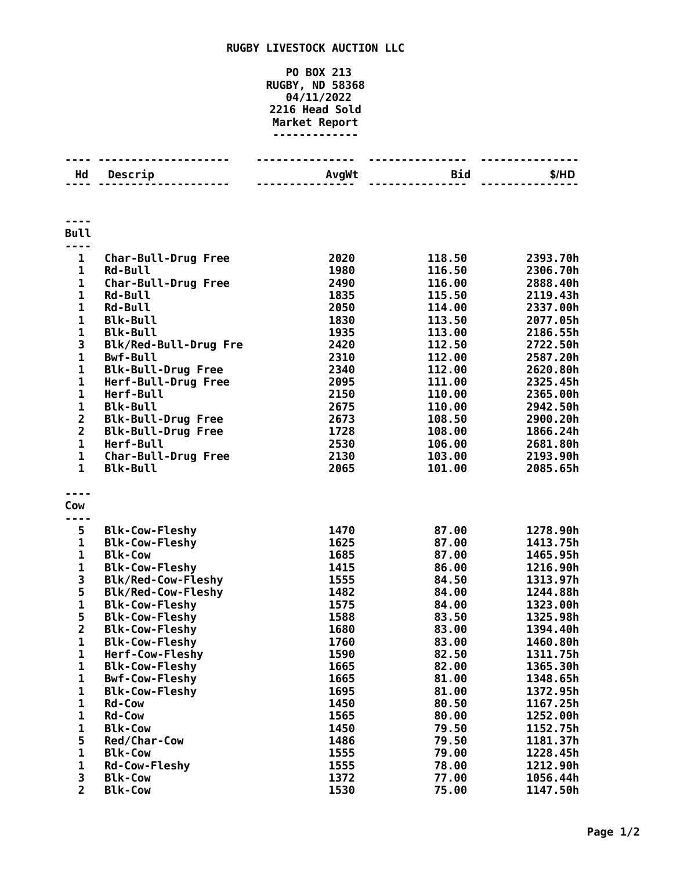## **RUGBY LIVESTOCK AUCTION LLC**

## **PO BOX 213 RUGBY, ND 58368 04/11/2022 Head Sold Market Report -------------**

| Hd                      | Descrip                                      | AvgWt        | <b>Bid</b>       | \$/HD                |
|-------------------------|----------------------------------------------|--------------|------------------|----------------------|
|                         |                                              |              |                  |                      |
|                         |                                              |              |                  |                      |
|                         |                                              |              |                  |                      |
|                         |                                              |              |                  |                      |
| <b>Bull</b>             |                                              |              |                  |                      |
|                         |                                              |              |                  |                      |
| $\mathbf{1}$            | <b>Char-Bull-Drug Free</b><br><b>Rd-Bull</b> | 2020         | 118.50           | 2393.70h             |
| 1<br>$\mathbf 1$        |                                              | 1980<br>2490 | 116.50           | 2306.70h<br>2888.40h |
| $\mathbf 1$             | Char-Bull-Drug Free<br><b>Rd-Bull</b>        | 1835         | 116.00<br>115.50 | 2119.43h             |
| $\mathbf 1$             | <b>Rd-Bull</b>                               | 2050         | 114.00           | 2337.00h             |
| $\mathbf{1}$            | <b>Blk-Bull</b>                              | 1830         | 113.50           | 2077.05h             |
| $\mathbf{1}$            | <b>Blk-Bull</b>                              | 1935         | 113.00           | 2186.55h             |
| 3                       | Blk/Red-Bull-Drug Fre                        | 2420         | 112.50           | 2722.50h             |
| $\mathbf{1}$            | <b>Bwf-Bull</b>                              | 2310         | 112.00           | 2587.20h             |
| $\mathbf{1}$            | <b>Blk-Bull-Drug Free</b>                    | 2340         | 112.00           | 2620.80h             |
| $\mathbf 1$             | Herf-Bull-Drug Free                          | 2095         | 111.00           | 2325.45h             |
| $\mathbf 1$             | Herf-Bull                                    | 2150         | 110.00           | 2365.00h             |
| $\mathbf 1$             | <b>Blk-Bull</b>                              | 2675         | 110.00           | 2942.50h             |
| $\overline{\mathbf{c}}$ | <b>Blk-Bull-Drug Free</b>                    | 2673         | 108.50           | 2900.20h             |
| $\overline{\mathbf{c}}$ | <b>Blk-Bull-Drug Free</b>                    | 1728         | 108.00           | 1866.24h             |
| $\mathbf 1$             | Herf-Bull                                    | 2530         | 106.00           | 2681.80h             |
| 1                       | <b>Char-Bull-Drug Free</b>                   | 2130         | 103.00           | 2193.90h             |
| $\mathbf{1}$            | <b>Blk-Bull</b>                              | 2065         | 101.00           | 2085.65h             |
|                         |                                              |              |                  |                      |
| ----                    |                                              |              |                  |                      |
| Cow                     |                                              |              |                  |                      |
|                         |                                              |              |                  |                      |
| 5                       | <b>Blk-Cow-Fleshy</b>                        | 1470         | 87.00            | 1278.90h             |
| $\mathbf 1$             | <b>Blk-Cow-Fleshy</b>                        | 1625         | 87.00            | 1413.75h             |
| $\mathbf{1}$            | <b>Blk-Cow</b>                               | 1685         | 87.00            | 1465.95h             |
| $\mathbf{1}$            | <b>Blk-Cow-Fleshy</b>                        | 1415         | 86.00            | 1216.90h             |
| 3                       | Blk/Red-Cow-Fleshy                           | 1555         | 84.50            | 1313.97h             |
| 5                       | <b>Blk/Red-Cow-Fleshy</b>                    | 1482         | 84.00            | 1244.88h             |
| $\mathbf{1}$            | <b>Blk-Cow-Fleshy</b>                        | 1575         | 84.00            | 1323.00h             |
| 5                       | <b>Blk-Cow-Fleshy</b>                        | 1588         | 83.50            | 1325.98h             |
| $\overline{2}$          | <b>Blk-Cow-Fleshy</b>                        | 1680         | 83.00            | 1394.40h             |
| 1                       | <b>Blk-Cow-Fleshy</b>                        | 1760         | 83.00            | 1460.80h             |
| 1                       | Herf-Cow-Fleshy                              | 1590         | 82.50            | 1311.75h             |
| 1                       | <b>Blk-Cow-Fleshy</b>                        | 1665         | 82.00            | 1365.30h             |
| 1                       | <b>Bwf-Cow-Fleshy</b>                        | 1665         | 81.00            | 1348.65h             |
| 1                       | <b>Blk-Cow-Fleshy</b>                        | 1695         | 81.00            | 1372.95h             |
| 1                       | Rd-Cow                                       | 1450         | 80.50            | 1167.25h             |
| 1                       | <b>Rd-Cow</b>                                | 1565         | 80.00            | 1252.00h             |
| $\mathbf{1}$            | <b>Blk-Cow</b>                               | 1450         | 79.50            | 1152.75h             |
| 5                       | Red/Char-Cow                                 | 1486         | 79.50            | 1181.37h             |
| $\mathbf{1}$            | <b>Blk-Cow</b>                               | 1555         | 79.00            | 1228.45h             |
| 1                       | Rd-Cow-Fleshy                                | 1555         | 78.00            | 1212.90h             |
| 3                       | <b>Blk-Cow</b>                               | 1372         | 77.00            | 1056.44h             |
| $\overline{2}$          | <b>Blk-Cow</b>                               | 1530         | 75.00            | 1147.50h             |